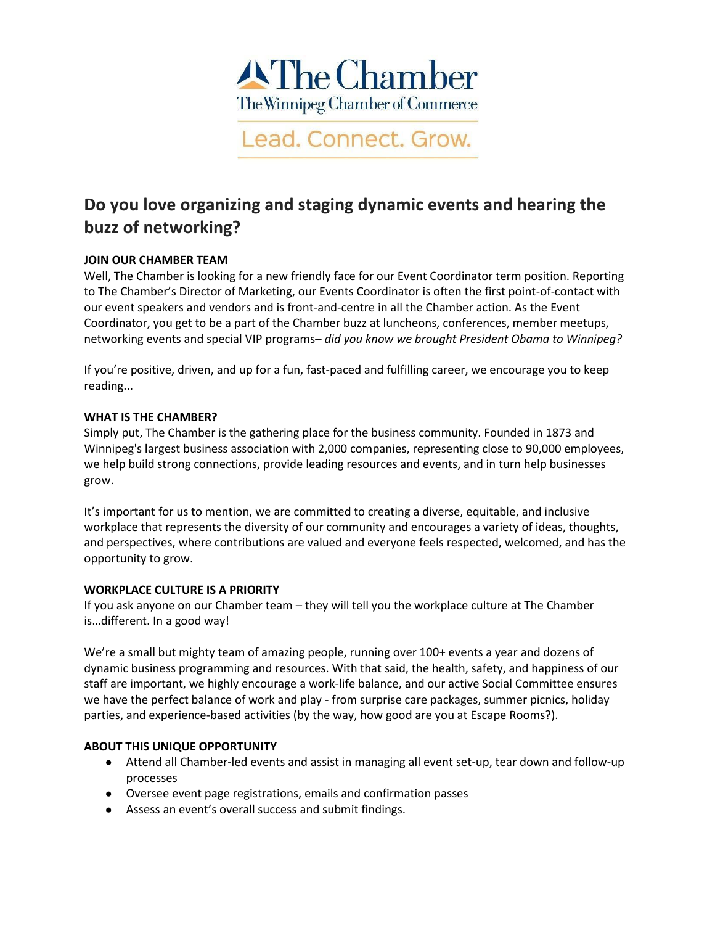

Lead. Connect. Grow.

# **Do you love organizing and staging dynamic events and hearing the buzz of networking?**

## **JOIN OUR CHAMBER TEAM**

Well, The Chamber is looking for a new friendly face for our Event Coordinator term position. Reporting to The Chamber's Director of Marketing, our Events Coordinator is often the first point-of-contact with our event speakers and vendors and is front-and-centre in all the Chamber action. As the Event Coordinator, you get to be a part of the Chamber buzz at luncheons, conferences, member meetups, networking events and special VIP programs– *did you know we brought President Obama to Winnipeg?*

If you're positive, driven, and up for a fun, fast-paced and fulfilling career, we encourage you to keep reading...

## **WHAT IS THE CHAMBER?**

Simply put, The Chamber is the gathering place for the business community. Founded in 1873 and Winnipeg's largest business association with 2,000 companies, representing close to 90,000 employees, we help build strong connections, provide leading resources and events, and in turn help businesses grow.

It's important for us to mention, we are committed to creating a diverse, equitable, and inclusive workplace that represents the diversity of our community and encourages a variety of ideas, thoughts, and perspectives, where contributions are valued and everyone feels respected, welcomed, and has the opportunity to grow.

#### **WORKPLACE CULTURE IS A PRIORITY**

If you ask anyone on our Chamber team – they will tell you the workplace culture at The Chamber is…different. In a good way!

We're a small but mighty team of amazing people, running over 100+ events a year and dozens of dynamic business programming and resources. With that said, the health, safety, and happiness of our staff are important, we highly encourage a work-life balance, and our active Social Committee ensures we have the perfect balance of work and play - from surprise care packages, summer picnics, holiday parties, and experience-based activities (by the way, how good are you at Escape Rooms?).

## **ABOUT THIS UNIQUE OPPORTUNITY**

- Attend all Chamber-led events and assist in managing all event set-up, tear down and follow-up processes
- Oversee event page registrations, emails and confirmation passes
- Assess an event's overall success and submit findings.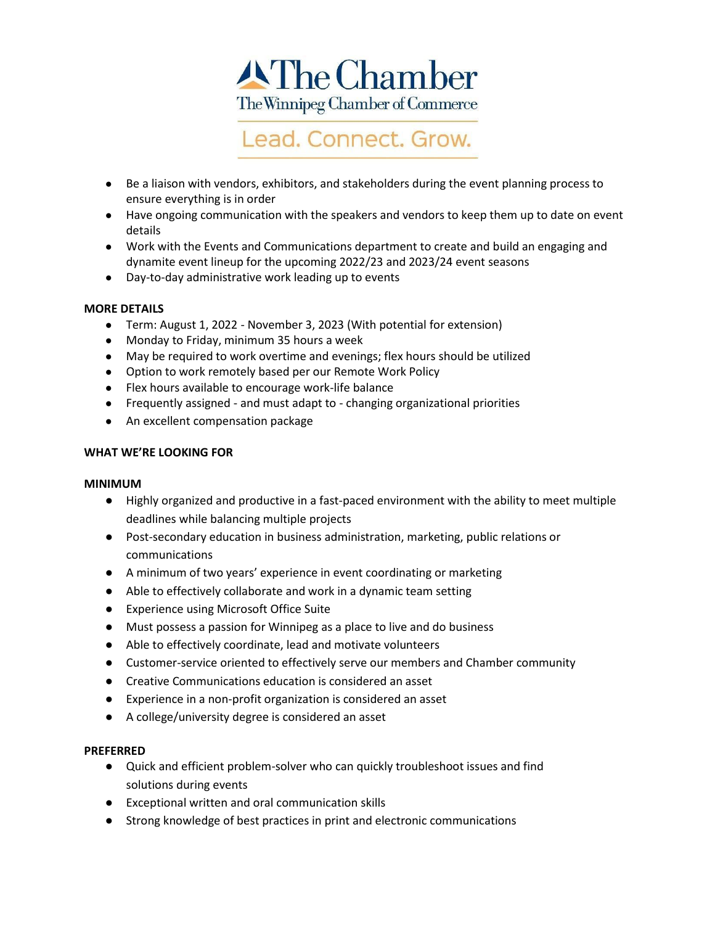



- Be a liaison with vendors, exhibitors, and stakeholders during the event planning process to ensure everything is in order
- Have ongoing communication with the speakers and vendors to keep them up to date on event details
- Work with the Events and Communications department to create and build an engaging and dynamite event lineup for the upcoming 2022/23 and 2023/24 event seasons
- Day-to-day administrative work leading up to events

## **MORE DETAILS**

- Term: August 1, 2022 November 3, 2023 (With potential for extension)
- Monday to Friday, minimum 35 hours a week
- May be required to work overtime and evenings; flex hours should be utilized
- Option to work remotely based per our Remote Work Policy
- Flex hours available to encourage work-life balance
- Frequently assigned and must adapt to changing organizational priorities
- An excellent compensation package

## **WHAT WE'RE LOOKING FOR**

#### **MINIMUM**

- Highly organized and productive in a fast-paced environment with the ability to meet multiple deadlines while balancing multiple projects
- Post-secondary education in business administration, marketing, public relations or communications
- A minimum of two years' experience in event coordinating or marketing
- Able to effectively collaborate and work in a dynamic team setting
- Experience using Microsoft Office Suite
- Must possess a passion for Winnipeg as a place to live and do business
- Able to effectively coordinate, lead and motivate volunteers
- Customer-service oriented to effectively serve our members and Chamber community
- Creative Communications education is considered an asset
- Experience in a non-profit organization is considered an asset
- A college/university degree is considered an asset

#### **PREFERRED**

- Quick and efficient problem-solver who can quickly troubleshoot issues and find solutions during events
- Exceptional written and oral communication skills
- Strong knowledge of best practices in print and electronic communications